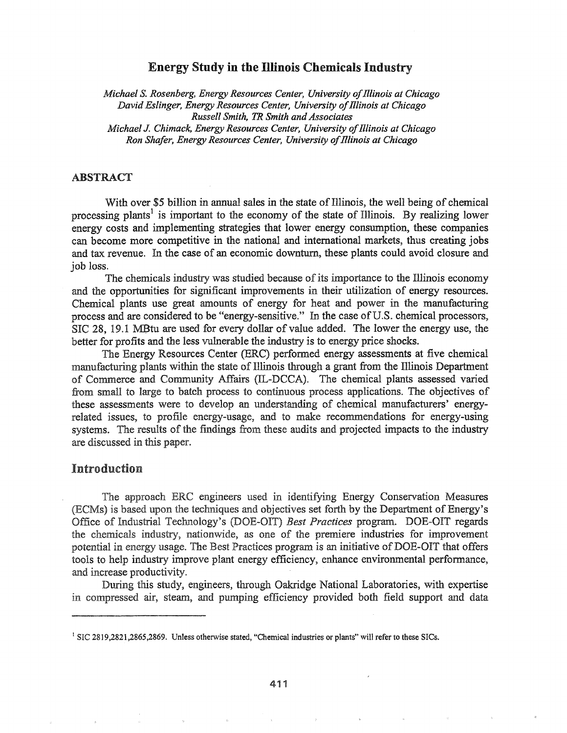# Energy Study in the llIinois Chemicals Industry

*Michael* S. *Rosenberg, Energy Resources Center, University ofillinois at Chicago David Eslinger, Energy Resources Center, University ofillinois at Chicago Russell Smith, TR Smith andAssociates Michael* J. *Chimack, Energy Resources Center, University ofillinois at Chicago Ron Shafer, Energy Resources Center, University ofillinois at Chicago*

#### ABSTRACT

With over \$5 billion in annual sales in the state of Illinois, the well being of chemical processing plants<sup>1</sup> is important to the economy of the state of Illinois. By realizing lower energy costs and implementing strategies that lower energy consumption, these companies can become more competitive in the national and international markets, thus creating jobs and tax revenue. In the case of an economic downturn, these plants could avoid closure and job loss.

The chemicals industry was studied because of its importance to the Illinois economy and the opportunities for significant improvements in their utilization of energy resources. Chemical plants use great amounts of energy for heat and power in the manufacturing process and are considered to be "energy-sensitive." In the case of U.S. chemical processors, SIC 28, 19.1 MBtu are used for every dollar of value added. The lower the energy use, the better for profits and the less vulnerable the industry is to energy price shocks..

The Energy Resources Center (ERC) performed energy assessments at five chemical manufacturing plants within the state of Illinois through a grant from the Illinois Department of Commerce and Community Affairs (IL-DCCA).. The chemical plants assessed varied from small to large to batch process to continuous process applications. The objectives of these assessments were to develop an understanding of chemical manufacturers' energyrelated issues, to profile energy-usage, and to make recommendations for energy-using systems. The results of the findings from these audits and projected impacts to the industry are discussed in this paper.

### Introduction

The approach ERC engineers used in identifying Energy Conservation Measures (ECMs) is based upon the techniques and objectives set forth by the Department of Energy's Office of Industrial Technology's (DOE-OIT) Best Practices program. DOE-OIT regards the chemicals industry, nationwide, as one of the premiere industries for improvement potential in energy usage. The Best Practices program is an initiative of DOE-OIT that offers tools to help industry improve plant energy efficiency, enhance environmental performance, and increase productivity.

During this study, engineers, through Oakridge National Laboratories, with expertise compressed air, steam, and pumping efficiency provided both field support and data

<sup>&</sup>lt;sup>1</sup> SIC 2819,2821,2865,2869. Unless otherwise stated, "Chemical industries or plants" will refer to these SICs.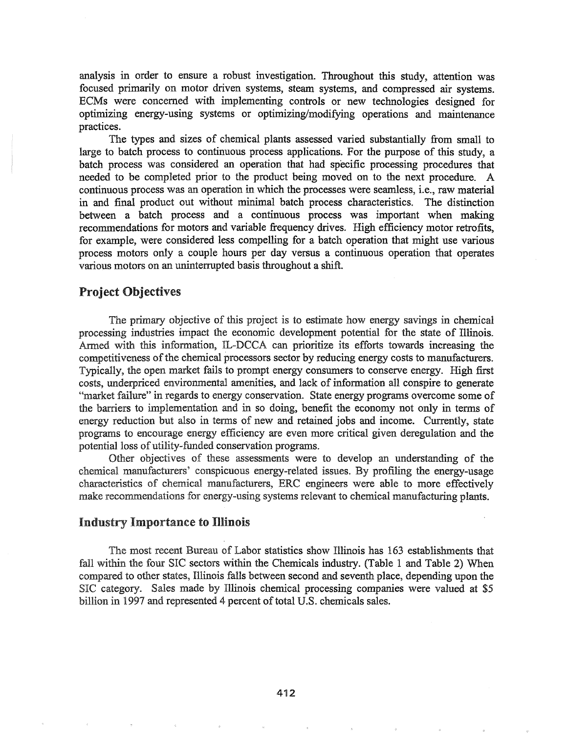analysis in order to ensure a robust investigation. Throughout this study, attention was focused primarily on motor driven systems, steam systems, and compressed air systems. ECMs were concerned with implementing controls or new technologies designed for optimizing energy-using systems or optimizing/modifying operations and maintenance practices.

The types and sizes of chemical plants assessed varied substantially from small to large to batch process to continuous process applications. For the purpose of this study, a batch process was. considered an operation that had specific processing procedures that needed to be completed prior to the product being moved on to the next procedure.. A continuous process was an operation in which the processes were seamless, *i.e.*, raw material in and final product out without minimal batch process characteristics. The distinction between a batch process and a continuous process was important when making recommendations for motors and variable frequency drives. High efficiency motor retrofits, for example, were considered less compelling for a batch operation that might use various process motors only a couple hours per day versus a continuous operation that operates various motors on an uninterrupted basis throughout a shift

### Project Objectives

The primary objective of this project is to estimate how energy savings in chemical processing industries impact the economic development potential for the state of Illinois. Armed with this information, IL-DCCA can prioritize its efforts towards increasing the competitiveness of the chemical processors sector by reducing energy costs to manufacturers. Typically, the open market fails to prompt energy consumers to conserve energy.. High first costs, underpriced environmental amenities, and lack of information all conspire to generate "market failure" in regards to energy conservation. State energy programs overcome some of the barriers to implementation and in so doing, benefit the economy not only in terms of energy reduction but also in terms of new and retained jobs and income.. Currently, state programs to encourage energy efficiency are even more critical given deregulation and the potential loss of utility-funded conservation programs.

Other objectives of these assessments were to develop an understanding of the chemical manufacturers' conspicuous energy-related issues. By profiling the energy-usage characteristics of chemical manufacturers, ERC engineers were able to more effectively make recommendations for energy-using systems relevant to chemical manufacturing plants.

#### Industry Importance to Illinois

The most recent Bureau of Labor statistics show Illinois has 163 establishments that fall within the four SIC sectors within the Chemicals industry. (Table 1 and Table 2) When compared to other states, Illinois falls between second and seventh place, depending upon the SIC category. Sales made by Illinois chemical processing companies were valued at \$5 billion in 1997 and represented 4 percent of total U.S. chemicals sales.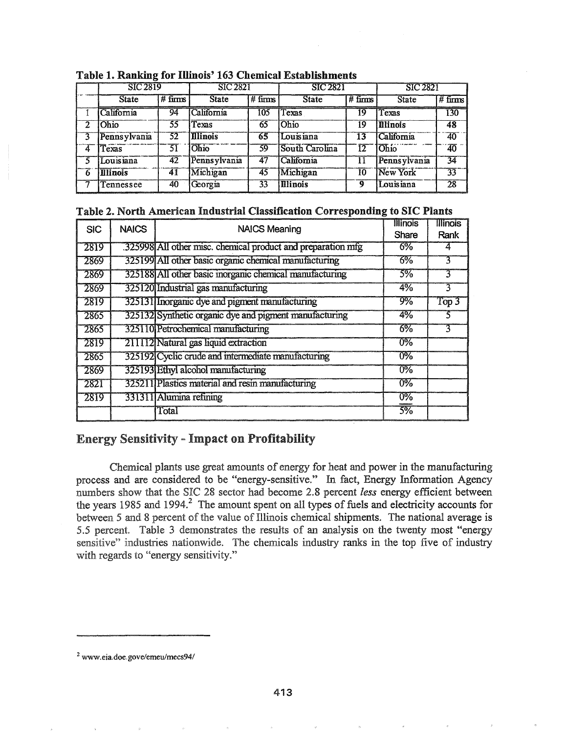|   | . .<br>SIC 2819 |           | <b>SIC 2821</b> |                    | <b>SIC 2821</b> |                        | <b>SIC 2821</b> |                     |
|---|-----------------|-----------|-----------------|--------------------|-----------------|------------------------|-----------------|---------------------|
|   | <b>State</b>    | $#$ firms | State           | $# \mathrm{firms}$ | <b>State</b>    | $# \overline{f}$ firms | State           | $# \mathrm{ firms}$ |
|   | California      | 94        | California      | 105                | Texas           | 19                     | Texas           | 130                 |
| 2 | <b>Ohio</b>     | 55        | Texas           | 65                 | Ohio            | 19                     | <b>Illinois</b> | 48                  |
|   | Pennsylvania    | -52       | <b>Illinois</b> | 65                 | Louisiana       | 13                     | California      | $\overline{40}$     |
| 4 | Texas           | 51        | Ohio            | 59                 | South Carolina  | 12                     | Ohio            | 40                  |
|   | Louisiana       | 42        | Pennsylvania    | 47                 | California      | 11                     | Pennsylvania    | 34                  |
| 6 | <b>Illinois</b> | 41        | Michigan        | 45                 | Michigan        | 10                     | New York        | 33                  |
|   | Tennessee       | 40        | Georgia         | 33                 | <b>Illinois</b> | ą                      | Louisiana       | $\overline{28}$     |

Table 1. Ranking for Illinois' 163 Chemical Establishments

## Table 2. North American Industrial Classification Corresponding to SIC Plants

| <b>SIC</b> | <b>NAICS</b> | <b>NAICS Meaning</b>                                         | <b>Illinois</b>  | <b>Illinois</b> |
|------------|--------------|--------------------------------------------------------------|------------------|-----------------|
|            |              |                                                              | Share            | Rank            |
| 2819       |              | .325998 All other misc. chemical product and preparation mfg | 6%               |                 |
| 2869       |              | 325199 All other basic organic chemical manufacturing        | 6%               |                 |
| 2869       |              | 325188 All other basic inorganic chemical manufacturing      | 3%               | 3               |
| 2869       |              | 325120 Industrial gas manufacturing                          | 4%               | 3               |
| 2819       |              | 325131 Inorganic dye and pigment manufacturing               | 9%               | Top 3           |
| 2865       |              | 325132 Synthetic organic dye and pigment manufacturing       | 4%               |                 |
| 2865       |              | 325110 Petrochemical manufacturing                           | $6\%$            |                 |
| 2819       |              | 211112 Natural gas liquid extraction                         | $\overline{0\%}$ |                 |
| 2865       |              | 325192 Cyclic crude and intermediate manufacturing           | $\overline{0\%}$ |                 |
| 2869       |              | 325193 Ethyl alcohol manufacturing                           | $\overline{0\%}$ |                 |
| 2821       |              | 325211 Plastics material and resin manufacturing             | $0\%$            |                 |
| 2819       |              | 331311 Alumina refining                                      | 0%               |                 |
|            |              | Total                                                        | 5%               |                 |

# **Energy Sensitivity - Impact on Profitability**

Chemical plants use great amounts of energy for heat and power in the manufacturing process and are considered to be "energy-sensitive." In fact, Energy Information Agency numbers show that the SIC 28 sector had become 2.8 percent less energy efficient between the years 1985 and 1994.<sup>2</sup> The amount spent on all types of fuels and electricity accounts for between 5 and 8 percent of the value of Illinois chemical shipments. The national average is 5.5 percent. Table 3 demonstrates the results of an analysis on the twenty most "energy sensitive" industries nationwide. The chemicals industry ranks in the top five of industry with regards to "energy sensitivity."

<sup>&</sup>lt;sup>2</sup> www.eia.doe.gove/emeu/mecs94/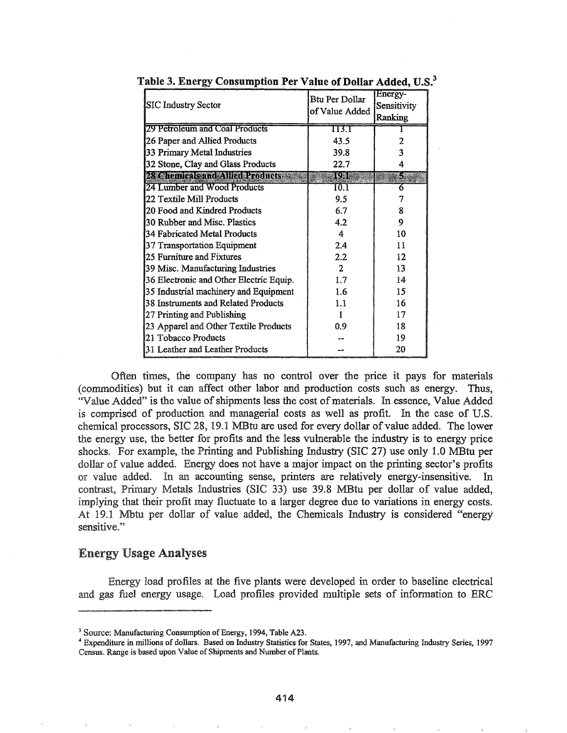| <b>SIC Industry Sector</b>               | Btu Per Dollar<br>of Value Added | Energy-<br>Sensitivity<br>Ranking |  |
|------------------------------------------|----------------------------------|-----------------------------------|--|
| 29 Petroleum and Coal Products           | 113.1                            |                                   |  |
| 26 Paper and Allied Products             | 43.5                             | 2                                 |  |
| 33 Primary Metal Industries              | 39.8                             | 3                                 |  |
| 32 Stone, Clay and Glass Products        | 22.7                             |                                   |  |
| <b>AX elianitals and Allian Products</b> | iuae                             | Сý                                |  |
| 24 Lumber and Wood Products              | 10.1                             | 6                                 |  |
| 22 Textile Mill Products                 | 9.5                              | 7                                 |  |
| 20 Food and Kindred Products             | 6.7                              | 8                                 |  |
| 30 Rubber and Misc. Plastics             | 4.2                              | 9                                 |  |
| 34 Fabricated Metal Products             | 4                                | 10                                |  |
| 37 Transportation Equipment              | 2.4                              | 11                                |  |
| 25 Furniture and Fixtures                | 2.2                              | $12 \overline{ }$                 |  |
| 39 Misc. Manufacturing Industries        | $\mathcal{L}$                    | 13                                |  |
| 36 Electronic and Other Electric Equip.  | 1.7                              | 14                                |  |
| 35 Industrial machinery and Equipment    | 1.6                              | 15                                |  |
| 38 Instruments and Related Products      | 1.1                              | 16                                |  |
| 27 Printing and Publishing               |                                  | 17                                |  |
| 23 Apparel and Other Textile Products    | 0.9                              | 18                                |  |
| 21 Tobacco Products                      |                                  | 19                                |  |
| 31 Leather and Leather Products          |                                  | 20                                |  |

Table 3. Energy Consumption Per Value of Dollar Added, U.S.<sup>3</sup>

Often times, the company has no control over the price it pays for materials (commodities) but it can affect other labor and production costs such as energy.. Thus, "Value Added" is the value of shipments less the cost of materials. In essence, Value Added is comprised of production and managerial costs as well as profit. In the case of U.S. chemical processors, SIC 28, 19.1 MBtu are used for every dollar of value added. The lower the energy use, the better for profits and the less vulnerable the industry is to energy price shocks. For example, the Printing and Publishing Industry (SIC 27) use only 1.0 MBtu per dollar of value added. Energy does not have a major impact on the printing sector's profits or value added. In an accounting sense, printers are relatively energy-insensitive. In contrast, Primary Metals Industries (SIC 33) use 39.8 MBtu per dollar of value added, implying that their profit may fluctuate to a larger degree due to variations in energy costs. At 19.1 Mbtu per dollar of value added, the Chemicals Industry is considered "energy sensitive."

#### **Energy Usage Analyses**

Energy load profiles at the five plants were developed in order to baseline electrical and gas fuel energy usage. Load profiles provided multiple sets of information to ERC

<sup>&</sup>lt;sup>3</sup> Source: Manufacturing Consumption of Energy, 1994, Table A23.

<sup>4</sup> Expenditure in millions of dollars. Based on Industry Statistics for States, 1997, and Manufacturing Industry Series, 1997 Census. Range is based upon Value of Shipments and Number of Plants.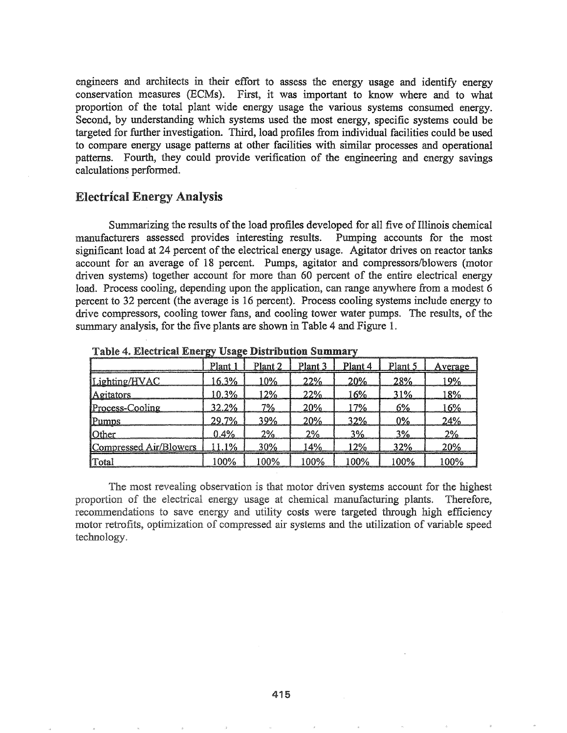engineers and architects in their effort to assess the energy usage and identify energy conservation measures (ECMs). First, it was important to know where and to what proportion of the total plant wide energy usage the various systems consumed energy. Second, by understanding which systems used the most energy, specific systems could be targeted for further investigation. Third, load profiles from individual facilities could be used to compare energy usage patterns at other facilities with similar processes and operational patterns. Fourth, they could provide verification of the engineering and energy savings calculations performed.

## Electrical Energy Analysis

Summarizing the results of the load profiles developed for all five of Illinois chemical manufacturers assessed provides interesting results. Pumping accounts for the most significant load at 24 percent of the electrical energy usage. Agitator drives on reactor tanks account for an average of 18 percent. Pumps, agitator and compressors/blowers (motor driven systems) together account for more than 60 percent of the entire electrical energy load. Process cooling, depending upon the application, can range anywhere from a modest 6 percent to 32 percent (the average is 16 percent). Process cooling systems include energy to drive compressors, cooling tower fans, and cooling tower water pumps. The results, of the summary analysis, for the five plants are shown in Table 4 and Figure 1.

|                        | Plant 1 | Plant 2 | Plant 3 | Plant 4 | Plant 5 | Average |
|------------------------|---------|---------|---------|---------|---------|---------|
| Lighting/HVAC          | 16.3%   | 10%     | 22%     | 20%     | 28%     | 19%     |
| Agitators              | 10.3%   | 12%     | 22%     | 16%     | 31%     | 18%     |
| Process-Cooling        | 32.2%   | 7%      | 20%     | 7%      | 6%      | 16%     |
| <b>Pumps</b>           | 29.7%   | 39%     | 20%     | 32%     | $0\%$   | 24%     |
| <b>Other</b>           | 0.4%    | 2%      | 2%      | 3%      | 3%      | 2%      |
| Compressed Air/Blowers | 11.1%   | 30%     | 14%     | 12%     | 32%     | 20%     |
| Total                  | 100%    | 100%    | 100%    | 100%    | 100%    | 100%    |

Table 4. Electrical Energy Usage Distribution Summary

The most revealing observation is that motor driven systems account for the highest proportion of the electrical energy usage at chemical manufacturing plants. Therefore, recommendations to save energy and utility costs were targeted through high efficiency motor retrofits, optimization of compressed air systems and the utilization of variable speed technology.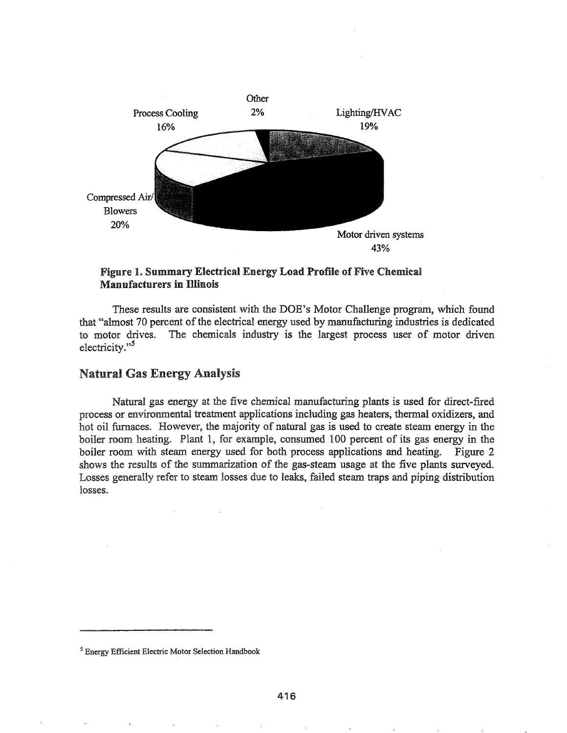

### Figure 1. Summary Electrical Energy Load Profile of Five Chemical Manufacturers in Illinois

These results are consistent with the DOE's Motor Challenge program, which found that "almost 70 percent of the electrical energy used by manufacturing industries is dedicated to motor drives. The chemicals industry is the largest process user of motor driven electricity."<sup>5</sup>

#### **Natural Gas Energy Analysis**

Natural gas energy at the five chemical manufacturing plants is used for direct-fired process or environmental treatment applications including gas heaters, thennal oxidizers, and hot oil furnaces. However, the majority of natural gas is used to create steam energy in the boiler room heating. Plant 1, for example, consumed 100 percent of its gas energy in the boiler room with steam energy used for both process applications and heating. Figure 2 shows the results of the summarization of the gas-steam usage at the five plants surveyed. Losses generally refer to steam losses due to leaks, failed steam traps and piping distribution losses.

<sup>5</sup> Energy Efficient Electric Motor Selection Handbook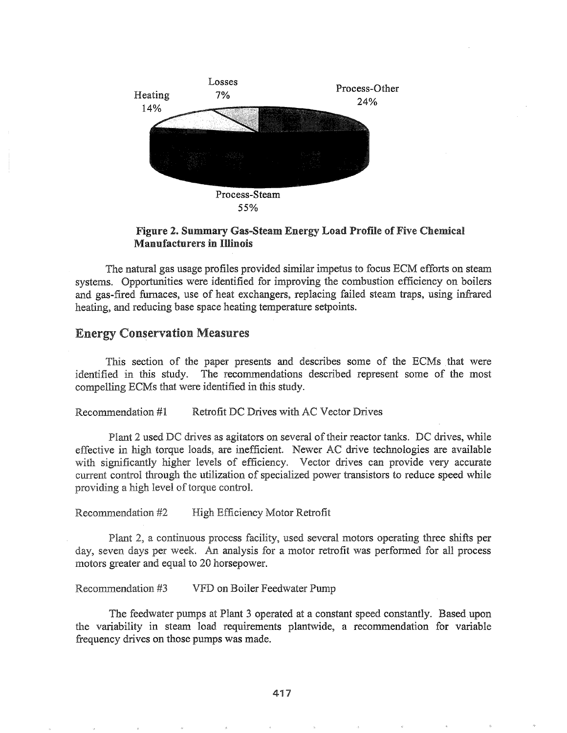

### Figure 2. Summary Gas-Steam Energy Load Profile of Five Chemical **Manufacturers in Illinois**

The natural gas usage profiles provided similar impetus to focus ECM efforts on steam systems. Opportunities were identified for improving the combustion efficiency on boilers and gas-fired furnaces, use of heat exchangers, replacing failed steam traps, using infrared heating, and reducing base space heating temperature setpoints.

### Energy Conservation Measures

This section of the paper presents and describes some of the ECMs that were identified in this study. The recommendations described represent some of the most compelling ECMs that were identified in this study.

Recommendation #1 Retrofit DC Drives with AC Vector Drives

Plant 2 used DC drives as agitators on several of their reactor tanks. DC drives, while effective in high torque loads, are inefficient. Newer AC drive technologies are available with significantly higher levels of efficiency. Vector drives can provide very accurate current control through the utilization of specialized power transistors to reduce speed while providing a high level of torque control.

Recommendation #2 High Efficiency Motor Retrofit

Plant 2, a continuous process facility, used several motors operating three shifts per day, seven days per week. An analysis for a motor retrofit was performed for all process motors greater and equal to 20 horsepower.

Recommendation #3 VFD on Boiler Feedwater Pump

The feedwater pumps at Plant 3 operated at a constant speed constantly. Based upon the variability in steam load requirements plantwide, a recommendation for variable frequency drives on those pumps was made.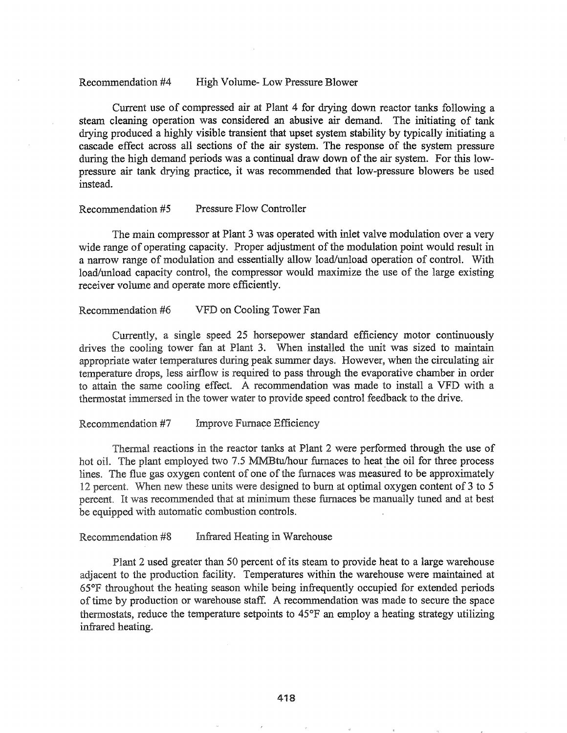#### Recommendation #4 High Volume- Low Pressure Blower

Current use of compressed air at Plant 4 for drying down reactor tanks following a steam cleaning operation was considered an abusive air demand. The initiating of tank drying produced a highly visible transient that upset system stability by typically initiating a cascade effect across all sections of the air system. The response of the system pressure during the high demand periods was a continual draw down of the air system. For this lowpressure air tank drying practice, it was recommended that low-pressure blowers be used instead.

#### Recommendation #5 Pressure Flow Controller

The main compressor at Plant 3 was operated with inlet valve modulation over a very wide range of operating capacity. Proper adjustment of the modulation point would result in a narrow range of modulation and essentially allow load/unload operation of control. With load/unload capacity control, the compressor would maximize the use of the large existing receiver volume and operate more efficiently.

#### Recommendation #6 VFD on Cooling Tower Fan

Currently, a single speed 25 horsepower standard efficiency motor continuously drives the cooling tower fan at Plant 3. When installed the unit was sized to maintain appropriate water temperatures during peak summer days. However, when the circulating air temperature drops, less airflow is required to pass through the evaporative chamber in order to attain the same cooling effect. A recommendation was made to install a VFD with a thermostat immersed in the tower water to provide speed control feedback to the drive.

#### Recommendation #7 Improve Furnace Efficiency

Thermal reactions in the reactor tanks at Plant 2 were performed through the use of hot oil. The plant employed two 7.5 MMBtu/hour furnaces to heat the oil for three process lines. The flue gas oxygen content of one of the furnaces was measured to be approximately 12 percent. When new these units were designed to burn at optimal oxygen content of 3 to 5 percent. It was recommended that at minimum these furnaces be manually tuned and at best be equipped with automatic combustion controls.

Recommendation #8 Infrared Heating in Warehouse

Plant 2 used greater than 50 percent of its steam to provide heat to a large warehouse adjacent to the production facility. Temperatures within the warehouse were maintained at throughout the heating season while being infrequently occupied for extended periods of time by production or warehouse staff. A recommendation was made to secure the space thermostats, reduce the temperature setpoints to 45°F an employ a heating strategy utilizing infrared heating..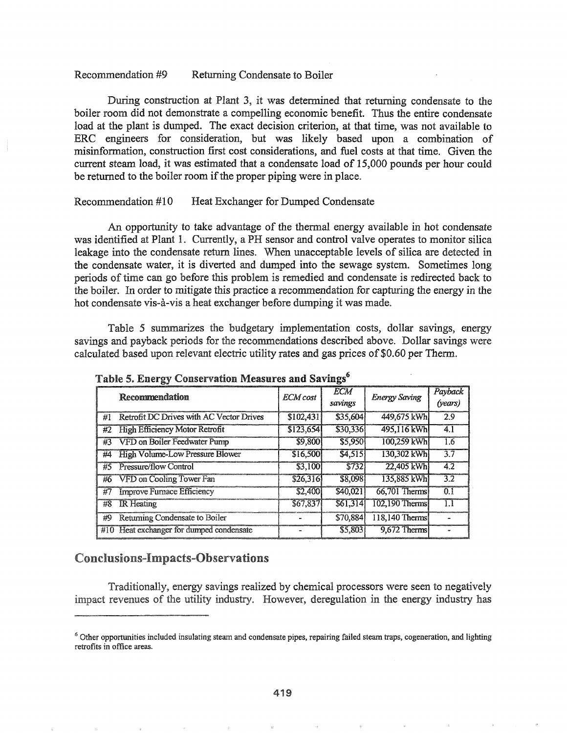#### Recommendation #9 Returning Condensate to Boiler

During construction at Plant 3, it was determined that returning condensate to the boiler room did not demonstrate a compelling economic benefit. Thus the entire condensate load at the plant is dumped. The exact decision criterion, at that time, was not available to ERC engineers for consideration, but was likely based upon a combination of misinformation, construction first cost considerations, and fuel costs at that time. Given the current steam load, it was estimated that a condensate load of 15,000 pounds per hour could be returned to the boiler room if the proper piping were in place.

### Recommendation #10 Heat Exchanger for Dumped Condensate

An opportunity to take advantage of the thermal energy available in hot condensate was identified at Plant 1. Currently, a PH sensor and control valve operates to monitor silica leakage into the condensate return lines. When unacceptable levels of silica are detected in the condensate water, it is diverted and dumped into the sewage system. Sometimes long periods of time can go before this problem is remedied and condensate is redirected back to the boiler. In order to mitigate this practice a recommendation for capturing the energy in the hot condensate vis-à-vis a heat exchanger before dumping it was made.

Table 5 summarizes the budgetary implementation costs, dollar savings, energy savings and payback periods for the recommendations described above. Dollar savings were calculated based upon relevant electric utility rates and gas prices of \$0.60 per Therm.

|    | Recommendation                           |           | <b>ECM</b>   |                      | Payback          |
|----|------------------------------------------|-----------|--------------|----------------------|------------------|
|    |                                          |           | savings      | <b>Energy Saving</b> | (years)          |
| #1 | Retrofit DC Drives with AC Vector Drives | \$102,431 | \$35,604     | 449,675 kWh          | 2.9              |
| #2 | <b>High Efficiency Motor Retrofit</b>    | \$123,654 | \$30,336     | 495,116 kWh          | 4.1              |
| #3 | VFD on Boiler Feedwater Pump             | \$9,800   | \$5,950      | 100,259 kWh          | 1.6              |
| #4 | <b>High Volume-Low Pressure Blower</b>   | \$16,500  | 54,515       | 130,302 kWh          | $\overline{3.7}$ |
| #5 | Pressure/flow Control                    | \$3,100   | <b>S7321</b> | 22,405 kWh           | 4.2              |
| #6 | <b>VFD on Cooling Tower Fan</b>          | \$26,316  | \$8,098      | 135.885 kWh          | 3.2              |
| #7 | <b>Improve Furnace Efficiency</b>        | \$2,400   | \$40,021     | $66,701$ Therms      | 0.1              |
| #8 | <b>IR</b> Heating                        | 567,837   | 561,314      | 102,190 Therms       | 1.1              |
| #9 | Returning Condensate to Boiler           |           | \$70,884     | 118,140 Therms       |                  |
|    | #10 Heat exchanger for dumped condensate |           | \$5,803      | 9,672 Therms         |                  |

Table 5. Energy Conservation Measures and Savings<sup>6</sup>

## Conclusions-Impacts-Observations

Traditionally, energy savings realized by chemical processors were seen to negatively impact revenues of the utility industry. However, deregulation in the energy industry has

<sup>&</sup>lt;sup>6</sup> Other opportunities included insulating steam and condensate pipes, repairing failed steam traps, cogeneration, and lighting retrofits in office areas.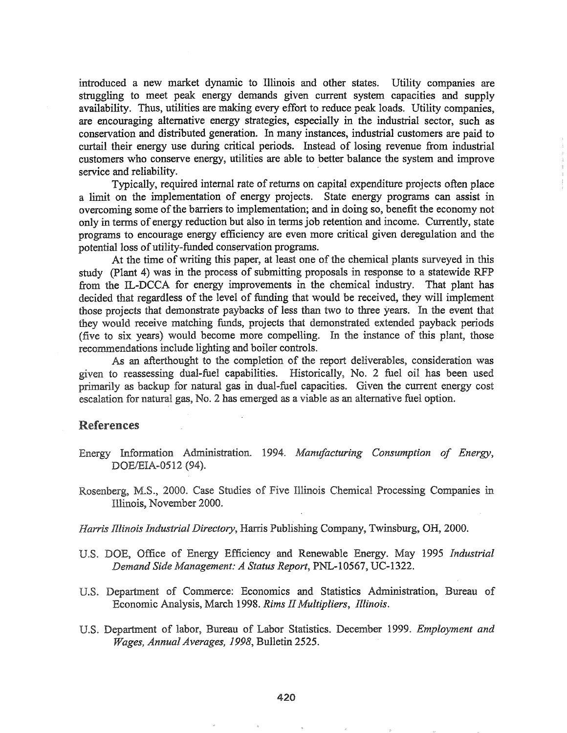introduced a new market dynamic to Illinois and other states. Utility companies are struggling to meet peak energy demands given current system capacities and supply availability. Thus, utilities are making every effort to reduce peak loads. Utility companies, are encouraging alternative energy strategies, especially in the industrial sector, such as conservation and distributed generation. In many instances, industrial customers are paid to curtail their energy use during critical periods. Instead of losing revenue from industrial customers who conserve energy, utilities are able to better balance the system and improve service and reliability. .

Typically, required internal rate of returns on capital expenditure projects often place a limit on the implementation of energy projects. State energy programs can assist in overcoming some of the barriers to implementation; and in doing so, benefit the economy not only in terms of energy reduction but also in terms job retention and income. Currently, state programs to encourage energy efficiency are even more critical given deregulation and the potential loss of utility-funded conservation programs.

At the time of writing this paper, at least one of the chemical plants surveyed in this study (plant 4) was in the process of submitting proposals in response to a statewide RFP from the IL-DCCA for energy improvements in the chemical industry. That plant has decided that regardless of the level of funding that would be received, they will implement those projects that demonstrate paybacks of less than two to three years. In the event that they would receive matching funds, projects that demonstrated extended payback periods (five to six years) would become more compelling. In the instance of this plant, those recommendations include lighting and boiler controls.

As an afterthought to the completion of the report deliverables, consideration was given to reassessing dual-fuel capabilities. Historically, No. 2 fuel oil has been used primarily as backup for natural gas in dual-fuel capacities. Given the current energy cost escalation for natural gas, No. 2 has emerged as a viable as an alternative fuel option.

#### References

- Energy Information Administration. 1994. Manufacturing Consumption of Energy, DOE/EIA-0512 (94).
- Rosenberg, M.S., 2000. Case Studies of Five Illinois Chemical Processing Companies in Illinois, November 2000.

*Harris Illinois Industrial Directory*, Harris Publishing Company, Twinsburg, OH, 2000.

- U.S. DOE, Office of Energy Efficiency and Renewable Energy. May 1995 *Industrial Demand Side Management.0 A Status Report,* PNL-I0567, UC-1322.
- U.S. Department of Commerce: Economics and Statistics Administration, Bureau of Economic Analysis, March 1998. *Rims II Multipliers, Illinois.*
- Department of labor, Bureau of Labor Statistics. December 1999. *Employment and Wages, Annual Averages, 1998, Bulletin 2525.*